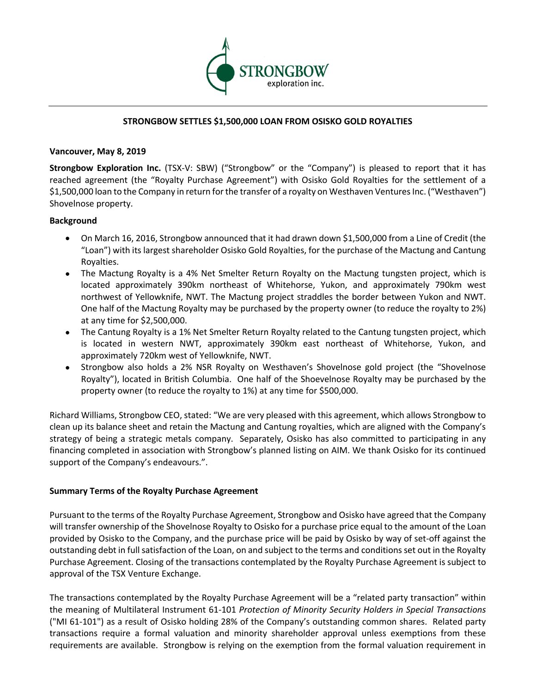

# **STRONGBOW SETTLES \$1,500,000 LOAN FROM OSISKO GOLD ROYALTIES**

# **Vancouver, May 8, 2019**

**Strongbow Exploration Inc.** (TSX-V: SBW) ("Strongbow" or the "Company") is pleased to report that it has reached agreement (the "Royalty Purchase Agreement") with Osisko Gold Royalties for the settlement of a \$1,500,000 loan to the Company in return for the transfer of a royalty on Westhaven Ventures Inc. ("Westhaven") Shovelnose property.

### **Background**

- On March 16, 2016, Strongbow announced that it had drawn down \$1,500,000 from a Line of Credit (the "Loan") with its largest shareholder Osisko Gold Royalties, for the purchase of the Mactung and Cantung Royalties.
- The Mactung Royalty is a 4% Net Smelter Return Royalty on the Mactung tungsten project, which is located approximately 390km northeast of Whitehorse, Yukon, and approximately 790km west northwest of Yellowknife, NWT. The Mactung project straddles the border between Yukon and NWT. One half of the Mactung Royalty may be purchased by the property owner (to reduce the royalty to 2%) at any time for \$2,500,000.
- The Cantung Royalty is a 1% Net Smelter Return Royalty related to the Cantung tungsten project, which is located in western NWT, approximately 390km east northeast of Whitehorse, Yukon, and approximately 720km west of Yellowknife, NWT.
- Strongbow also holds a 2% NSR Royalty on Westhaven's Shovelnose gold project (the "Shovelnose Royalty"), located in British Columbia. One half of the Shoevelnose Royalty may be purchased by the property owner (to reduce the royalty to 1%) at any time for \$500,000.

Richard Williams, Strongbow CEO, stated: "We are very pleased with this agreement, which allows Strongbow to clean up its balance sheet and retain the Mactung and Cantung royalties, which are aligned with the Company's strategy of being a strategic metals company. Separately, Osisko has also committed to participating in any financing completed in association with Strongbow's planned listing on AIM. We thank Osisko for its continued support of the Company's endeavours.".

# **Summary Terms of the Royalty Purchase Agreement**

Pursuant to the terms of the Royalty Purchase Agreement, Strongbow and Osisko have agreed that the Company will transfer ownership of the Shovelnose Royalty to Osisko for a purchase price equal to the amount of the Loan provided by Osisko to the Company, and the purchase price will be paid by Osisko by way of set-off against the outstanding debt in full satisfaction of the Loan, on and subject to the terms and conditions set out in the Royalty Purchase Agreement. Closing of the transactions contemplated by the Royalty Purchase Agreement is subject to approval of the TSX Venture Exchange.

The transactions contemplated by the Royalty Purchase Agreement will be a "related party transaction" within the meaning of Multilateral Instrument 61-101 *Protection of Minority Security Holders in Special Transactions* ("MI 61-101") as a result of Osisko holding 28% of the Company's outstanding common shares. Related party transactions require a formal valuation and minority shareholder approval unless exemptions from these requirements are available. Strongbow is relying on the exemption from the formal valuation requirement in